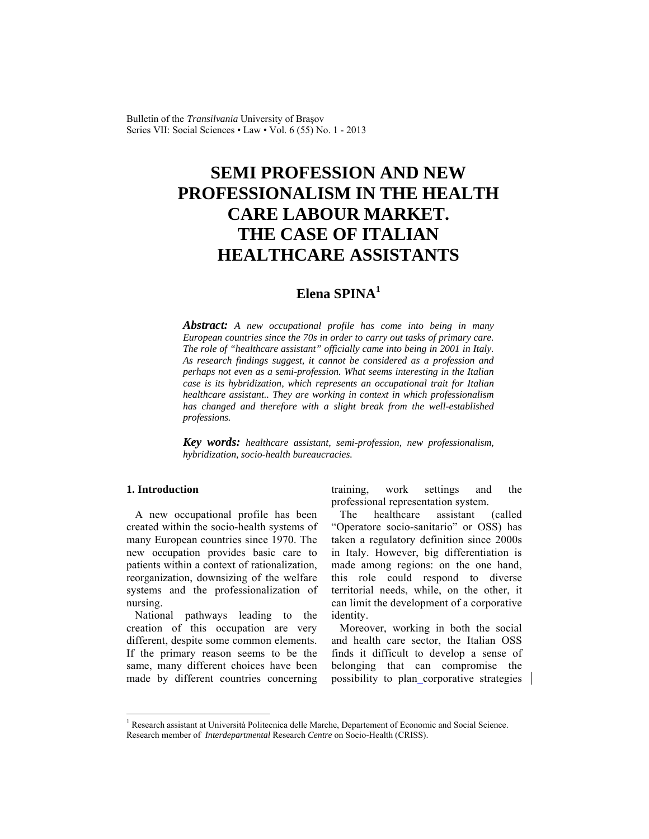Bulletin of the *Transilvania* University of Braşov Series VII: Social Sciences • Law • Vol. 6 (55) No. 1 - 2013

# **SEMI PROFESSION AND NEW PROFESSIONALISM IN THE HEALTH CARE LABOUR MARKET. THE CASE OF ITALIAN HEALTHCARE ASSISTANTS**

# **Elena SPINA<sup>1</sup>**

*Abstract: A new occupational profile has come into being in many European countries since the 70s in order to carry out tasks of primary care. The role of "healthcare assistant" officially came into being in 2001 in Italy. As research findings suggest, it cannot be considered as a profession and perhaps not even as a semi-profession. What seems interesting in the Italian case is its hybridization, which represents an occupational trait for Italian healthcare assistant.. They are working in context in which professionalism has changed and therefore with a slight break from the well-established professions.* 

*Key words: healthcare assistant, semi-profession, new professionalism, hybridization, socio-health bureaucracies.*

### **1. Introduction**

l

A new occupational profile has been created within the socio-health systems of many European countries since 1970. The new occupation provides basic care to patients within a context of rationalization, reorganization, downsizing of the welfare systems and the professionalization of nursing.

National pathways leading to the creation of this occupation are very different, despite some common elements. If the primary reason seems to be the same, many different choices have been made by different countries concerning training, work settings and the professional representation system.

The healthcare assistant (called "Operatore socio-sanitario" or OSS) has taken a regulatory definition since 2000s in Italy. However, big differentiation is made among regions: on the one hand, this role could respond to diverse territorial needs, while, on the other, it can limit the development of a corporative identity.

Moreover, working in both the social and health care sector, the Italian OSS finds it difficult to develop a sense of belonging that can compromise the possibility to plan corporative strategies

<sup>&</sup>lt;sup>1</sup> Research assistant at Università Politecnica delle Marche, Departement of Economic and Social Science. Research member of *Interdepartmental* Research *Centre* on Socio-Health (CRISS).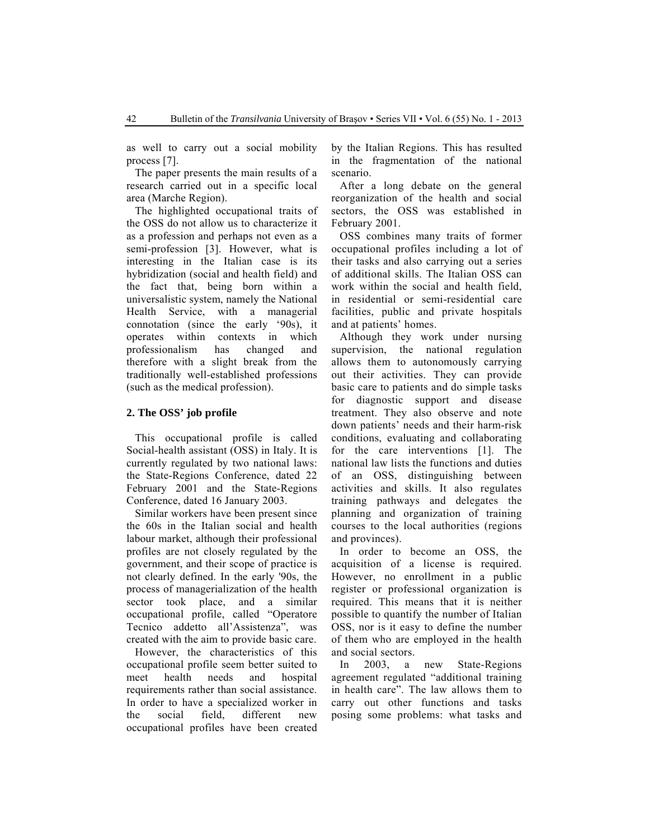as well to carry out a social mobility process [7].

The paper presents the main results of a research carried out in a specific local area (Marche Region).

The highlighted occupational traits of the OSS do not allow us to characterize it as a profession and perhaps not even as a semi-profession [3]. However, what is interesting in the Italian case is its hybridization (social and health field) and the fact that, being born within a universalistic system, namely the National Health Service, with a managerial connotation (since the early '90s), it operates within contexts in which professionalism has changed and therefore with a slight break from the traditionally well-established professions (such as the medical profession).

#### **2. The OSS' job profile**

This occupational profile is called Social-health assistant (OSS) in Italy. It is currently regulated by two national laws: the State-Regions Conference, dated 22 February 2001 and the State-Regions Conference, dated 16 January 2003.

Similar workers have been present since the 60s in the Italian social and health labour market, although their professional profiles are not closely regulated by the government, and their scope of practice is not clearly defined. In the early '90s, the process of managerialization of the health sector took place, and a similar occupational profile, called "Operatore Tecnico addetto all'Assistenza", was created with the aim to provide basic care.

However, the characteristics of this occupational profile seem better suited to meet health needs and hospital requirements rather than social assistance. In order to have a specialized worker in the social field, different new occupational profiles have been created by the Italian Regions. This has resulted in the fragmentation of the national scenario.

After a long debate on the general reorganization of the health and social sectors, the OSS was established in February 2001.

OSS combines many traits of former occupational profiles including a lot of their tasks and also carrying out a series of additional skills. The Italian OSS can work within the social and health field, in residential or semi-residential care facilities, public and private hospitals and at patients' homes.

Although they work under nursing supervision, the national regulation allows them to autonomously carrying out their activities. They can provide basic care to patients and do simple tasks for diagnostic support and disease treatment. They also observe and note down patients' needs and their harm-risk conditions, evaluating and collaborating for the care interventions [1]. The national law lists the functions and duties of an OSS, distinguishing between activities and skills. It also regulates training pathways and delegates the planning and organization of training courses to the local authorities (regions and provinces).

In order to become an OSS, the acquisition of a license is required. However, no enrollment in a public register or professional organization is required. This means that it is neither possible to quantify the number of Italian OSS, nor is it easy to define the number of them who are employed in the health and social sectors.

In 2003, a new State-Regions agreement regulated "additional training in health care". The law allows them to carry out other functions and tasks posing some problems: what tasks and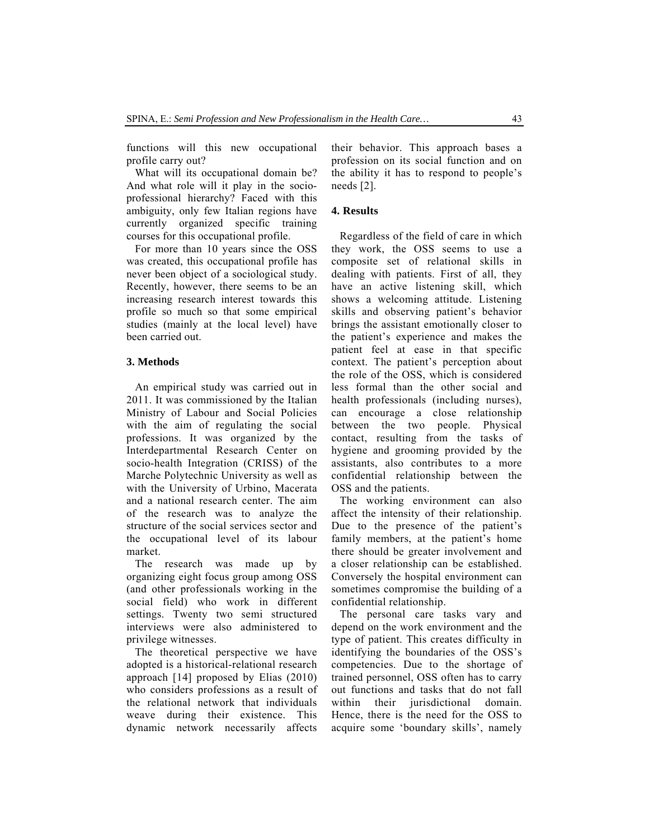functions will this new occupational profile carry out?

What will its occupational domain be? And what role will it play in the socioprofessional hierarchy? Faced with this ambiguity, only few Italian regions have currently organized specific training courses for this occupational profile.

For more than 10 years since the OSS was created, this occupational profile has never been object of a sociological study. Recently, however, there seems to be an increasing research interest towards this profile so much so that some empirical studies (mainly at the local level) have been carried out.

#### **3. Methods**

An empirical study was carried out in 2011. It was commissioned by the Italian Ministry of Labour and Social Policies with the aim of regulating the social professions. It was organized by the Interdepartmental Research Center on socio-health Integration (CRISS) of the Marche Polytechnic University as well as with the University of Urbino, Macerata and a national research center. The aim of the research was to analyze the structure of the social services sector and the occupational level of its labour market.

The research was made up by organizing eight focus group among OSS (and other professionals working in the social field) who work in different settings. Twenty two semi structured interviews were also administered to privilege witnesses.

The theoretical perspective we have adopted is a historical-relational research approach [14] proposed by Elias (2010) who considers professions as a result of the relational network that individuals weave during their existence. This dynamic network necessarily affects their behavior. This approach bases a profession on its social function and on the ability it has to respond to people's needs [2].

#### **4. Results**

Regardless of the field of care in which they work, the OSS seems to use a composite set of relational skills in dealing with patients. First of all, they have an active listening skill, which shows a welcoming attitude. Listening skills and observing patient's behavior brings the assistant emotionally closer to the patient's experience and makes the patient feel at ease in that specific context. The patient's perception about the role of the OSS, which is considered less formal than the other social and health professionals (including nurses), can encourage a close relationship between the two people. Physical contact, resulting from the tasks of hygiene and grooming provided by the assistants, also contributes to a more confidential relationship between the OSS and the patients.

The working environment can also affect the intensity of their relationship. Due to the presence of the patient's family members, at the patient's home there should be greater involvement and a closer relationship can be established. Conversely the hospital environment can sometimes compromise the building of a confidential relationship.

The personal care tasks vary and depend on the work environment and the type of patient. This creates difficulty in identifying the boundaries of the OSS's competencies. Due to the shortage of trained personnel, OSS often has to carry out functions and tasks that do not fall within their jurisdictional domain. Hence, there is the need for the OSS to acquire some 'boundary skills', namely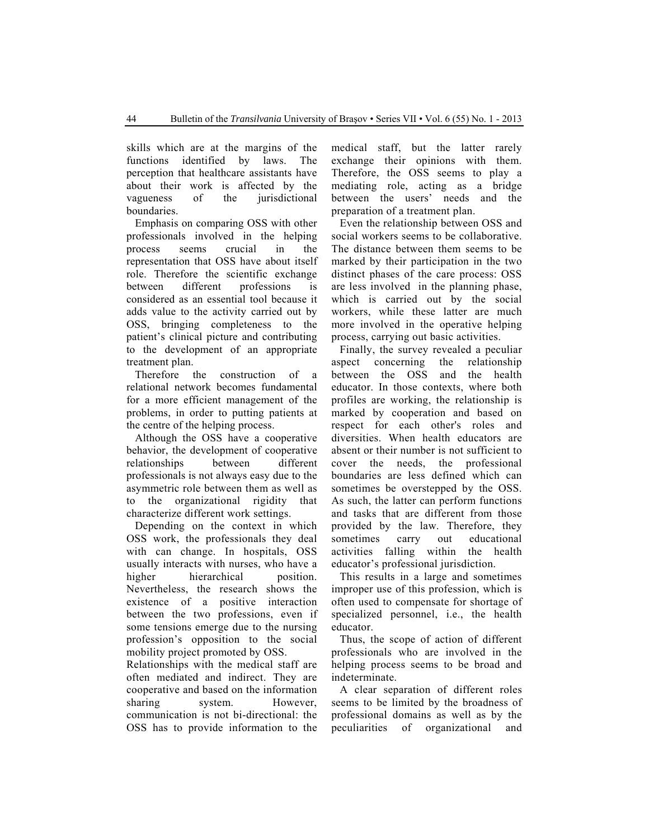skills which are at the margins of the functions identified by laws. The perception that healthcare assistants have about their work is affected by the vagueness of the jurisdictional boundaries.

Emphasis on comparing OSS with other professionals involved in the helping process seems crucial in the representation that OSS have about itself role. Therefore the scientific exchange between different professions is considered as an essential tool because it adds value to the activity carried out by OSS, bringing completeness to the patient's clinical picture and contributing to the development of an appropriate treatment plan.

Therefore the construction of a relational network becomes fundamental for a more efficient management of the problems, in order to putting patients at the centre of the helping process.

Although the OSS have a cooperative behavior, the development of cooperative relationships between different professionals is not always easy due to the asymmetric role between them as well as to the organizational rigidity that characterize different work settings.

Depending on the context in which OSS work, the professionals they deal with can change. In hospitals, OSS usually interacts with nurses, who have a higher hierarchical position. Nevertheless, the research shows the existence of a positive interaction between the two professions, even if some tensions emerge due to the nursing profession's opposition to the social mobility project promoted by OSS.

Relationships with the medical staff are often mediated and indirect. They are cooperative and based on the information sharing system. However, communication is not bi-directional: the OSS has to provide information to the medical staff, but the latter rarely exchange their opinions with them. Therefore, the OSS seems to play a mediating role, acting as a bridge between the users' needs and the preparation of a treatment plan.

Even the relationship between OSS and social workers seems to be collaborative. The distance between them seems to be marked by their participation in the two distinct phases of the care process: OSS are less involved in the planning phase, which is carried out by the social workers, while these latter are much more involved in the operative helping process, carrying out basic activities.

Finally, the survey revealed a peculiar aspect concerning the relationship between the OSS and the health educator. In those contexts, where both profiles are working, the relationship is marked by cooperation and based on respect for each other's roles and diversities. When health educators are absent or their number is not sufficient to cover the needs, the professional boundaries are less defined which can sometimes be overstepped by the OSS. As such, the latter can perform functions and tasks that are different from those provided by the law. Therefore, they sometimes carry out educational activities falling within the health educator's professional jurisdiction.

This results in a large and sometimes improper use of this profession, which is often used to compensate for shortage of specialized personnel, i.e., the health educator.

Thus, the scope of action of different professionals who are involved in the helping process seems to be broad and indeterminate.

A clear separation of different roles seems to be limited by the broadness of professional domains as well as by the peculiarities of organizational and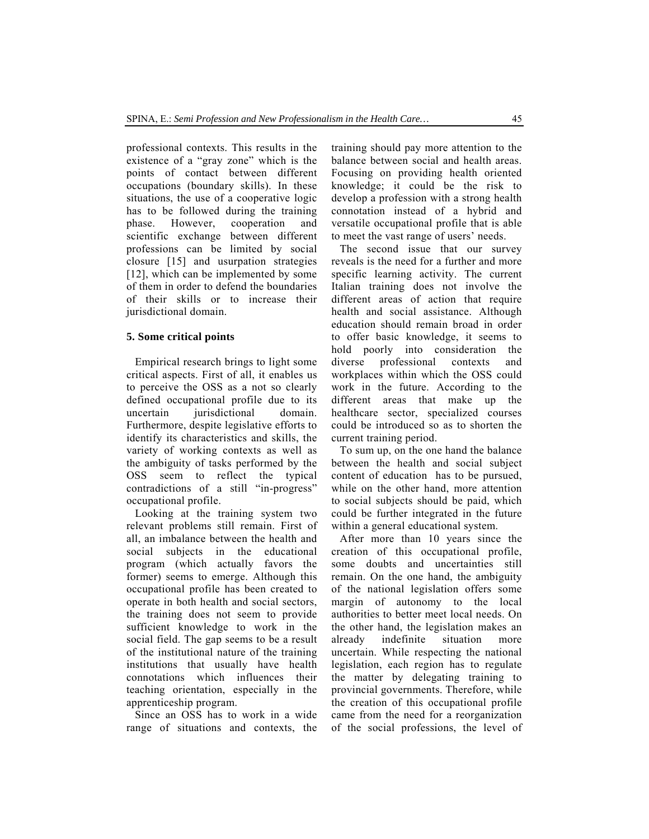professional contexts. This results in the existence of a "gray zone" which is the points of contact between different occupations (boundary skills). In these situations, the use of a cooperative logic has to be followed during the training phase. However, cooperation and scientific exchange between different professions can be limited by social closure [15] and usurpation strategies [12], which can be implemented by some of them in order to defend the boundaries of their skills or to increase their jurisdictional domain.

#### **5. Some critical points**

Empirical research brings to light some critical aspects. First of all, it enables us to perceive the OSS as a not so clearly defined occupational profile due to its uncertain jurisdictional domain. Furthermore, despite legislative efforts to identify its characteristics and skills, the variety of working contexts as well as the ambiguity of tasks performed by the OSS seem to reflect the typical contradictions of a still "in-progress" occupational profile.

Looking at the training system two relevant problems still remain. First of all, an imbalance between the health and social subjects in the educational program (which actually favors the former) seems to emerge. Although this occupational profile has been created to operate in both health and social sectors, the training does not seem to provide sufficient knowledge to work in the social field. The gap seems to be a result of the institutional nature of the training institutions that usually have health connotations which influences their teaching orientation, especially in the apprenticeship program.

Since an OSS has to work in a wide range of situations and contexts, the training should pay more attention to the balance between social and health areas. Focusing on providing health oriented knowledge; it could be the risk to develop a profession with a strong health connotation instead of a hybrid and versatile occupational profile that is able to meet the vast range of users' needs.

The second issue that our survey reveals is the need for a further and more specific learning activity. The current Italian training does not involve the different areas of action that require health and social assistance. Although education should remain broad in order to offer basic knowledge, it seems to hold poorly into consideration the diverse professional contexts and workplaces within which the OSS could work in the future. According to the different areas that make up the healthcare sector, specialized courses could be introduced so as to shorten the current training period.

To sum up, on the one hand the balance between the health and social subject content of education has to be pursued, while on the other hand, more attention to social subjects should be paid, which could be further integrated in the future within a general educational system.

After more than 10 years since the creation of this occupational profile, some doubts and uncertainties still remain. On the one hand, the ambiguity of the national legislation offers some margin of autonomy to the local authorities to better meet local needs. On the other hand, the legislation makes an already indefinite situation more uncertain. While respecting the national legislation, each region has to regulate the matter by delegating training to provincial governments. Therefore, while the creation of this occupational profile came from the need for a reorganization of the social professions, the level of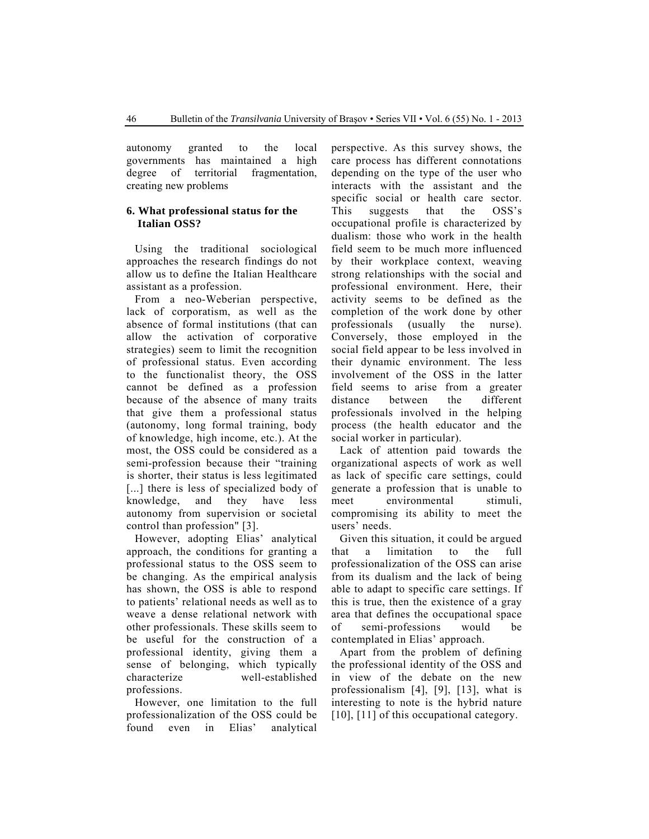autonomy granted to the local governments has maintained a high degree of territorial fragmentation, creating new problems

#### **6. What professional status for the Italian OSS?**

Using the traditional sociological approaches the research findings do not allow us to define the Italian Healthcare assistant as a profession.

From a neo-Weberian perspective, lack of corporatism, as well as the absence of formal institutions (that can allow the activation of corporative strategies) seem to limit the recognition of professional status. Even according to the functionalist theory, the OSS cannot be defined as a profession because of the absence of many traits that give them a professional status (autonomy, long formal training, body of knowledge, high income, etc.). At the most, the OSS could be considered as a semi-profession because their "training is shorter, their status is less legitimated [...] there is less of specialized body of knowledge, and they have less autonomy from supervision or societal control than profession" [3].

However, adopting Elias' analytical approach, the conditions for granting a professional status to the OSS seem to be changing. As the empirical analysis has shown, the OSS is able to respond to patients' relational needs as well as to weave a dense relational network with other professionals. These skills seem to be useful for the construction of a professional identity, giving them a sense of belonging, which typically characterize well-established professions.

However, one limitation to the full professionalization of the OSS could be found even in Elias' analytical perspective. As this survey shows, the care process has different connotations depending on the type of the user who interacts with the assistant and the specific social or health care sector. This suggests that the OSS's occupational profile is characterized by dualism: those who work in the health field seem to be much more influenced by their workplace context, weaving strong relationships with the social and professional environment. Here, their activity seems to be defined as the completion of the work done by other professionals (usually the nurse). Conversely, those employed in the social field appear to be less involved in their dynamic environment. The less involvement of the OSS in the latter field seems to arise from a greater distance between the different professionals involved in the helping process (the health educator and the social worker in particular).

Lack of attention paid towards the organizational aspects of work as well as lack of specific care settings, could generate a profession that is unable to meet environmental stimuli, compromising its ability to meet the users' needs.

Given this situation, it could be argued that a limitation to the full professionalization of the OSS can arise from its dualism and the lack of being able to adapt to specific care settings. If this is true, then the existence of a gray area that defines the occupational space of semi-professions would be contemplated in Elias' approach.

Apart from the problem of defining the professional identity of the OSS and in view of the debate on the new professionalism [4], [9], [13], what is interesting to note is the hybrid nature [10], [11] of this occupational category.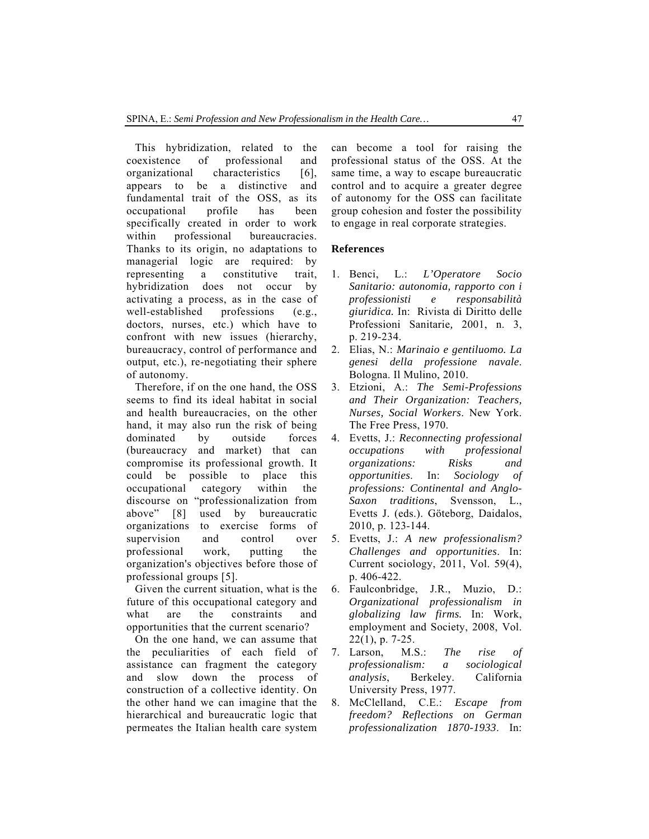This hybridization, related to the coexistence of professional and organizational characteristics [6], appears to be a distinctive and fundamental trait of the OSS, as its occupational profile has been specifically created in order to work within professional bureaucracies. Thanks to its origin, no adaptations to managerial logic are required: by representing a constitutive trait, hybridization does not occur by activating a process, as in the case of well-established professions (e.g., doctors, nurses, etc.) which have to confront with new issues (hierarchy, bureaucracy, control of performance and output, etc.), re-negotiating their sphere of autonomy.

Therefore, if on the one hand, the OSS seems to find its ideal habitat in social and health bureaucracies, on the other hand, it may also run the risk of being dominated by outside forces (bureaucracy and market) that can compromise its professional growth. It could be possible to place this occupational category within the discourse on "professionalization from above" [8] used by bureaucratic organizations to exercise forms of supervision and control over professional work, putting the organization's objectives before those of professional groups [5].

Given the current situation, what is the future of this occupational category and what are the constraints and opportunities that the current scenario?

On the one hand, we can assume that the peculiarities of each field of assistance can fragment the category and slow down the process of construction of a collective identity. On the other hand we can imagine that the hierarchical and bureaucratic logic that permeates the Italian health care system

can become a tool for raising the professional status of the OSS. At the same time, a way to escape bureaucratic control and to acquire a greater degree of autonomy for the OSS can facilitate group cohesion and foster the possibility to engage in real corporate strategies.

## **References**

- 1. Benci, L.: *L'Operatore Socio Sanitario: autonomia, rapporto con i professionisti e responsabilità giuridica.* In: Rivista di Diritto delle Professioni Sanitarie*,* 2001, n. 3, p. 219-234.
- 2. Elias, N.: *Marinaio e gentiluomo. La genesi della professione navale*. Bologna. Il Mulino, 2010.
- 3. Etzioni, A.: *The Semi-Professions and Their Organization: Teachers, Nurses, Social Workers*. New York. The Free Press, 1970.
- 4. Evetts, J.: *Reconnecting professional occupations with professional organizations: Risks and opportunities*. In: *Sociology of professions: Continental and Anglo-Saxon traditions*, Svensson, L., Evetts J. (eds.). Göteborg, Daidalos, 2010, p. 123-144.
- 5. Evetts, J.: *A new professionalism? Challenges and opportunities*. In: Current sociology, 2011, Vol. 59(4), p. 406-422.
- 6. Faulconbridge, J.R., Muzio, D.: *Organizational professionalism in globalizing law firms.* In: Work, employment and Society, 2008, Vol. 22(1), p. 7-25.
- 7. Larson, M.S.: *The rise of professionalism: a sociological analysis*, Berkeley. California University Press, 1977.
- 8. McClelland, C.E.: *Escape from freedom? Reflections on German professionalization 1870-1933*. In: